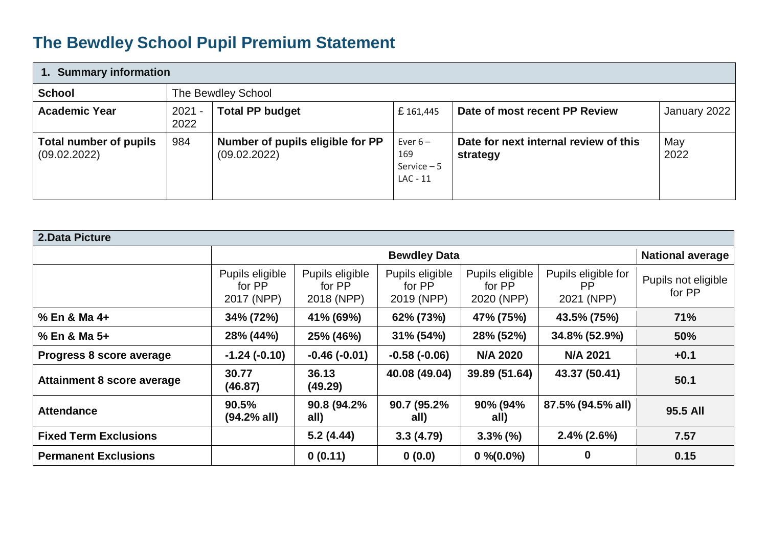## **The Bewdley School Pupil Premium Statement**

| 1. Summary information                        |                    |                                                  |                                                |                                                   |              |  |  |
|-----------------------------------------------|--------------------|--------------------------------------------------|------------------------------------------------|---------------------------------------------------|--------------|--|--|
| <b>School</b>                                 | The Bewdley School |                                                  |                                                |                                                   |              |  |  |
| <b>Academic Year</b>                          | $2021 -$<br>2022   | <b>Total PP budget</b>                           | £161,445                                       | Date of most recent PP Review                     | January 2022 |  |  |
| <b>Total number of pupils</b><br>(09.02.2022) | 984                | Number of pupils eligible for PP<br>(09.02.2022) | Ever $6-$<br>169<br>Service $-5$<br>$LAC - 11$ | Date for next internal review of this<br>strategy | May<br>2022  |  |  |

| 2. Data Picture                   |                                         |                                         |                                         |                                         |                                                |                               |  |  |
|-----------------------------------|-----------------------------------------|-----------------------------------------|-----------------------------------------|-----------------------------------------|------------------------------------------------|-------------------------------|--|--|
|                                   | <b>Bewdley Data</b>                     |                                         |                                         |                                         |                                                | <b>National average</b>       |  |  |
|                                   | Pupils eligible<br>for PP<br>2017 (NPP) | Pupils eligible<br>for PP<br>2018 (NPP) | Pupils eligible<br>for PP<br>2019 (NPP) | Pupils eligible<br>for PP<br>2020 (NPP) | Pupils eligible for<br><b>PP</b><br>2021 (NPP) | Pupils not eligible<br>for PP |  |  |
| % En & Ma 4+                      | 34% (72%)                               | 41% (69%)                               | 62% (73%)                               | 47% (75%)                               | 43.5% (75%)                                    | 71%                           |  |  |
| % En & Ma 5+                      | 28% (44%)                               | 25% (46%)                               | $31\% (54\%)$                           | 28% (52%)                               | 34.8% (52.9%)                                  | 50%                           |  |  |
| Progress 8 score average          | $-1.24(-0.10)$                          | $-0.46(-0.01)$                          | $-0.58(-0.06)$                          | <b>N/A 2020</b>                         | <b>N/A 2021</b>                                | $+0.1$                        |  |  |
| <b>Attainment 8 score average</b> | 30.77<br>(46.87)                        | 36.13<br>(49.29)                        | 40.08 (49.04)                           | 39.89 (51.64)                           | 43.37 (50.41)                                  | 50.1                          |  |  |
| <b>Attendance</b>                 | 90.5%<br>$(94.2%$ all)                  | 90.8 (94.2%<br>all)                     | 90.7 (95.2%<br>all)                     | 90% (94%<br>all)                        | 87.5% (94.5% all)                              | 95.5 All                      |  |  |
| <b>Fixed Term Exclusions</b>      |                                         | 5.2(4.44)                               | 3.3(4.79)                               | $3.3\%$ (%)                             | $2.4\%$ (2.6%)                                 | 7.57                          |  |  |
| <b>Permanent Exclusions</b>       |                                         | 0(0.11)                                 | 0(0.0)                                  | $0\% (0.0\%)$                           | 0                                              | 0.15                          |  |  |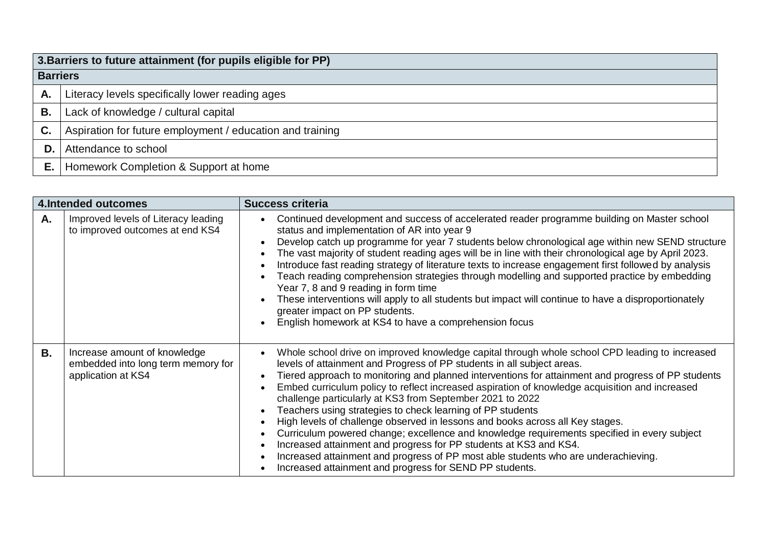|      | 3. Barriers to future attainment (for pupils eligible for PP) |  |  |  |  |
|------|---------------------------------------------------------------|--|--|--|--|
|      | <b>Barriers</b>                                               |  |  |  |  |
| Α.   | Literacy levels specifically lower reading ages               |  |  |  |  |
| Β.   | Lack of knowledge / cultural capital                          |  |  |  |  |
| C.   | Aspiration for future employment / education and training     |  |  |  |  |
| D. I | Attendance to school                                          |  |  |  |  |
| Е.   | Homework Completion & Support at home                         |  |  |  |  |

| <b>4.Intended outcomes</b> |                                                                                          | <b>Success criteria</b>                                                                                                                                                                                                                                                                                                                                                                                                                                                                                                                                                                                                                                                                                                                                                                                                                                                                                                                                                            |
|----------------------------|------------------------------------------------------------------------------------------|------------------------------------------------------------------------------------------------------------------------------------------------------------------------------------------------------------------------------------------------------------------------------------------------------------------------------------------------------------------------------------------------------------------------------------------------------------------------------------------------------------------------------------------------------------------------------------------------------------------------------------------------------------------------------------------------------------------------------------------------------------------------------------------------------------------------------------------------------------------------------------------------------------------------------------------------------------------------------------|
| Α.                         | Improved levels of Literacy leading<br>to improved outcomes at end KS4                   | Continued development and success of accelerated reader programme building on Master school<br>$\bullet$<br>status and implementation of AR into year 9<br>Develop catch up programme for year 7 students below chronological age within new SEND structure<br>$\bullet$<br>The vast majority of student reading ages will be in line with their chronological age by April 2023.<br>$\bullet$<br>Introduce fast reading strategy of literature texts to increase engagement first followed by analysis<br>$\bullet$<br>Teach reading comprehension strategies through modelling and supported practice by embedding<br>Year 7, 8 and 9 reading in form time<br>These interventions will apply to all students but impact will continue to have a disproportionately<br>greater impact on PP students.<br>English homework at KS4 to have a comprehension focus                                                                                                                    |
| В.                         | Increase amount of knowledge<br>embedded into long term memory for<br>application at KS4 | Whole school drive on improved knowledge capital through whole school CPD leading to increased<br>levels of attainment and Progress of PP students in all subject areas.<br>Tiered approach to monitoring and planned interventions for attainment and progress of PP students<br>$\bullet$<br>Embed curriculum policy to reflect increased aspiration of knowledge acquisition and increased<br>$\bullet$<br>challenge particularly at KS3 from September 2021 to 2022<br>Teachers using strategies to check learning of PP students<br>$\bullet$<br>High levels of challenge observed in lessons and books across all Key stages.<br>Curriculum powered change; excellence and knowledge requirements specified in every subject<br>Increased attainment and progress for PP students at KS3 and KS4.<br>$\bullet$<br>Increased attainment and progress of PP most able students who are underachieving.<br>$\bullet$<br>Increased attainment and progress for SEND PP students. |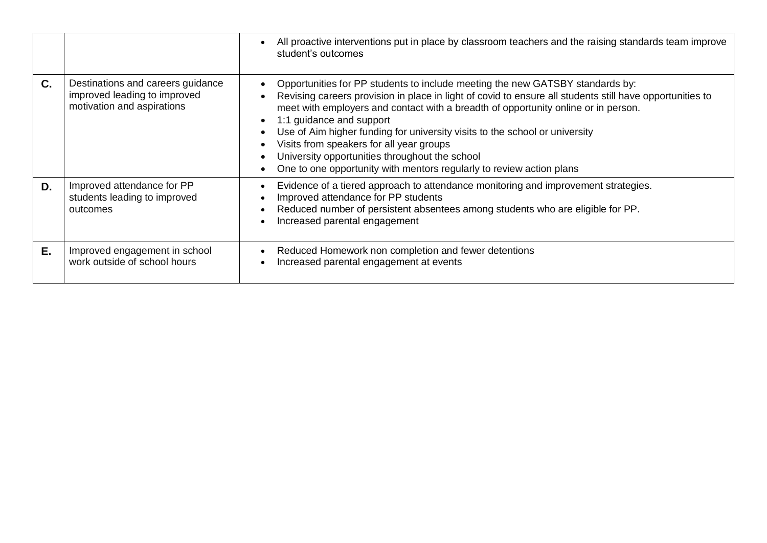|    |                                                                                                 | All proactive interventions put in place by classroom teachers and the raising standards team improve<br>student's outcomes                                                                                                                                                                                                                                                                                                                                                                                                                                      |
|----|-------------------------------------------------------------------------------------------------|------------------------------------------------------------------------------------------------------------------------------------------------------------------------------------------------------------------------------------------------------------------------------------------------------------------------------------------------------------------------------------------------------------------------------------------------------------------------------------------------------------------------------------------------------------------|
| C. | Destinations and careers guidance<br>improved leading to improved<br>motivation and aspirations | Opportunities for PP students to include meeting the new GATSBY standards by:<br>Revising careers provision in place in light of covid to ensure all students still have opportunities to<br>meet with employers and contact with a breadth of opportunity online or in person.<br>1:1 guidance and support<br>Use of Aim higher funding for university visits to the school or university<br>Visits from speakers for all year groups<br>University opportunities throughout the school<br>One to one opportunity with mentors regularly to review action plans |
| D. | Improved attendance for PP<br>students leading to improved<br>outcomes                          | Evidence of a tiered approach to attendance monitoring and improvement strategies.<br>Improved attendance for PP students<br>Reduced number of persistent absentees among students who are eligible for PP.<br>Increased parental engagement                                                                                                                                                                                                                                                                                                                     |
| Е. | Improved engagement in school<br>work outside of school hours                                   | Reduced Homework non completion and fewer detentions<br>Increased parental engagement at events                                                                                                                                                                                                                                                                                                                                                                                                                                                                  |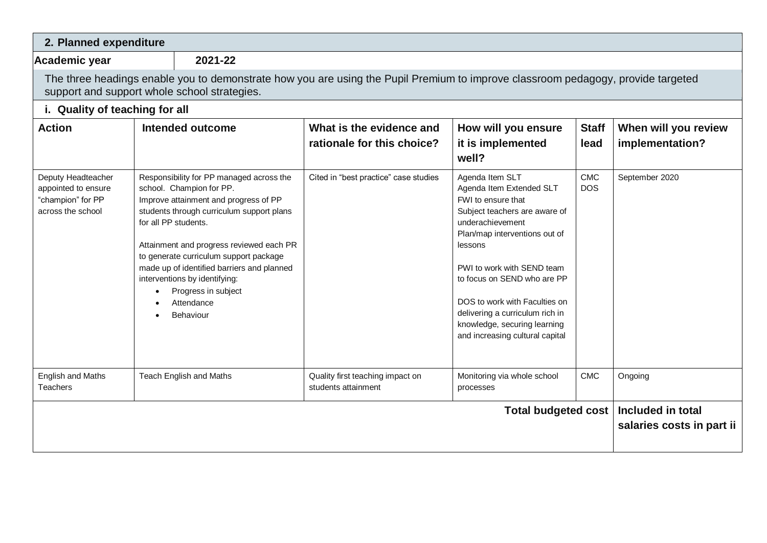| 2. Planned expenditure                                                              |                      |                                                                                                                                                                                                                                                                                                                                                                                   |                                                                                                                                  |                                                                                                                                                                                                                                                                                                                                                                        |                          |                                                |
|-------------------------------------------------------------------------------------|----------------------|-----------------------------------------------------------------------------------------------------------------------------------------------------------------------------------------------------------------------------------------------------------------------------------------------------------------------------------------------------------------------------------|----------------------------------------------------------------------------------------------------------------------------------|------------------------------------------------------------------------------------------------------------------------------------------------------------------------------------------------------------------------------------------------------------------------------------------------------------------------------------------------------------------------|--------------------------|------------------------------------------------|
| <b>Academic year</b>                                                                |                      | 2021-22                                                                                                                                                                                                                                                                                                                                                                           |                                                                                                                                  |                                                                                                                                                                                                                                                                                                                                                                        |                          |                                                |
|                                                                                     |                      | support and support whole school strategies.                                                                                                                                                                                                                                                                                                                                      | The three headings enable you to demonstrate how you are using the Pupil Premium to improve classroom pedagogy, provide targeted |                                                                                                                                                                                                                                                                                                                                                                        |                          |                                                |
| i. Quality of teaching for all                                                      |                      |                                                                                                                                                                                                                                                                                                                                                                                   |                                                                                                                                  |                                                                                                                                                                                                                                                                                                                                                                        |                          |                                                |
| <b>Action</b>                                                                       |                      | Intended outcome                                                                                                                                                                                                                                                                                                                                                                  | What is the evidence and<br>rationale for this choice?                                                                           | How will you ensure<br>it is implemented<br>well?                                                                                                                                                                                                                                                                                                                      | <b>Staff</b><br>lead     | When will you review<br>implementation?        |
| Deputy Headteacher<br>appointed to ensure<br>"champion" for PP<br>across the school | for all PP students. | Responsibility for PP managed across the<br>school. Champion for PP.<br>Improve attainment and progress of PP<br>students through curriculum support plans<br>Attainment and progress reviewed each PR<br>to generate curriculum support package<br>made up of identified barriers and planned<br>interventions by identifying:<br>Progress in subject<br>Attendance<br>Behaviour | Cited in "best practice" case studies                                                                                            | Agenda Item SLT<br>Agenda Item Extended SLT<br>FWI to ensure that<br>Subject teachers are aware of<br>underachievement<br>Plan/map interventions out of<br>lessons<br>PWI to work with SEND team<br>to focus on SEND who are PP<br>DOS to work with Faculties on<br>delivering a curriculum rich in<br>knowledge, securing learning<br>and increasing cultural capital | <b>CMC</b><br><b>DOS</b> | September 2020                                 |
| English and Maths<br><b>Teachers</b>                                                |                      | Teach English and Maths                                                                                                                                                                                                                                                                                                                                                           | Quality first teaching impact on<br>students attainment                                                                          | Monitoring via whole school<br>processes                                                                                                                                                                                                                                                                                                                               | <b>CMC</b>               | Ongoing                                        |
|                                                                                     |                      |                                                                                                                                                                                                                                                                                                                                                                                   |                                                                                                                                  | <b>Total budgeted cost</b>                                                                                                                                                                                                                                                                                                                                             |                          | Included in total<br>salaries costs in part ii |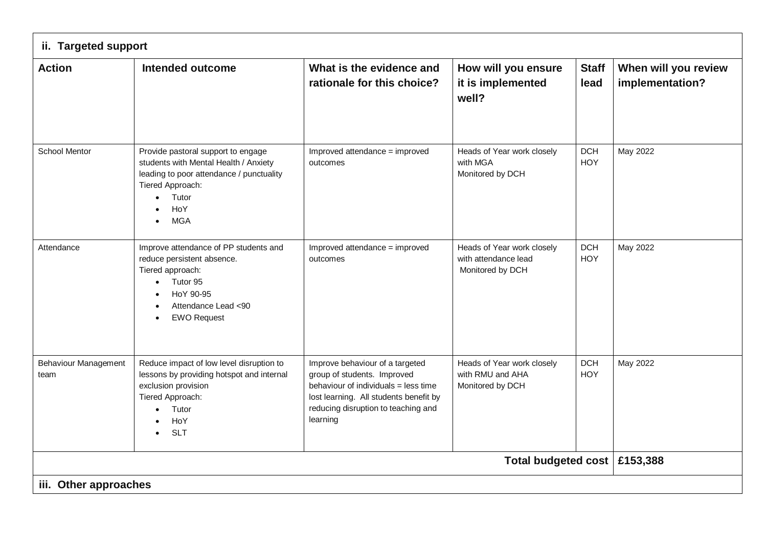| <b>Action</b>                       | <b>Intended outcome</b>                                                                                                                                                                             | What is the evidence and<br>rationale for this choice?                                                                                                                                              | How will you ensure<br>it is implemented<br>well?                      | <b>Staff</b><br>lead     | When will you review<br>implementation? |  |  |
|-------------------------------------|-----------------------------------------------------------------------------------------------------------------------------------------------------------------------------------------------------|-----------------------------------------------------------------------------------------------------------------------------------------------------------------------------------------------------|------------------------------------------------------------------------|--------------------------|-----------------------------------------|--|--|
| School Mentor                       | Provide pastoral support to engage<br>students with Mental Health / Anxiety<br>leading to poor attendance / punctuality<br>Tiered Approach:<br>Tutor<br>$\bullet$<br>HoY<br><b>MGA</b><br>$\bullet$ | Improved attendance = improved<br>outcomes                                                                                                                                                          | Heads of Year work closely<br>with MGA<br>Monitored by DCH             | <b>DCH</b><br>HOY        | May 2022                                |  |  |
| Attendance                          | Improve attendance of PP students and<br>reduce persistent absence.<br>Tiered approach:<br>Tutor 95<br>$\bullet$<br>HoY 90-95<br>Attendance Lead <90<br><b>EWO Request</b>                          | Improved attendance = improved<br>outcomes                                                                                                                                                          | Heads of Year work closely<br>with attendance lead<br>Monitored by DCH | <b>DCH</b><br><b>HOY</b> | May 2022                                |  |  |
| <b>Behaviour Management</b><br>team | Reduce impact of low level disruption to<br>lessons by providing hotspot and internal<br>exclusion provision<br>Tiered Approach:<br>Tutor<br>HoY<br><b>SLT</b><br>$\bullet$                         | Improve behaviour of a targeted<br>group of students. Improved<br>behaviour of individuals = less time<br>lost learning. All students benefit by<br>reducing disruption to teaching and<br>learning | Heads of Year work closely<br>with RMU and AHA<br>Monitored by DCH     | <b>DCH</b><br>HOY        | May 2022                                |  |  |
|                                     | Total budgeted cost   £153,388                                                                                                                                                                      |                                                                                                                                                                                                     |                                                                        |                          |                                         |  |  |